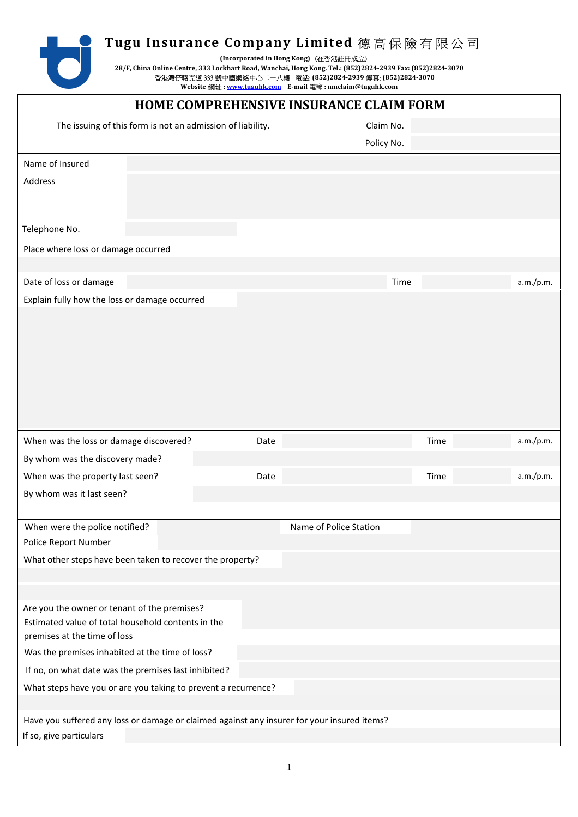**(Incorporated in Hong Kong)** (在香港註冊成立)

**28/F, China Online Centre, 333 Lockhart Road, Wanchai, Hong Kong. Tel.: (852)2824-2939 Fax: (852)2824-3070**  香港灣仔駱克道 333 號中國網絡中心二十八樓 電話: **(852)2824-2939** 傳真: **(852)2824-3070** 

Website 網址 : <u>www.tuguhk.com</u> E-mail 電郵 : nmclaim@tuguhk.com

| HOME COMPREHENSIVE INSURANCE CLAIM FORM                                                                                |      |                        |                   |  |  |  |  |  |  |  |
|------------------------------------------------------------------------------------------------------------------------|------|------------------------|-------------------|--|--|--|--|--|--|--|
| The issuing of this form is not an admission of liability.                                                             |      | Claim No.              |                   |  |  |  |  |  |  |  |
|                                                                                                                        |      | Policy No.             |                   |  |  |  |  |  |  |  |
| Name of Insured                                                                                                        |      |                        |                   |  |  |  |  |  |  |  |
| Address                                                                                                                |      |                        |                   |  |  |  |  |  |  |  |
|                                                                                                                        |      |                        |                   |  |  |  |  |  |  |  |
| Telephone No.                                                                                                          |      |                        |                   |  |  |  |  |  |  |  |
| Place where loss or damage occurred                                                                                    |      |                        |                   |  |  |  |  |  |  |  |
|                                                                                                                        |      |                        |                   |  |  |  |  |  |  |  |
| Date of loss or damage                                                                                                 |      | Time                   | a.m./p.m.         |  |  |  |  |  |  |  |
| Explain fully how the loss or damage occurred                                                                          |      |                        |                   |  |  |  |  |  |  |  |
|                                                                                                                        |      |                        |                   |  |  |  |  |  |  |  |
|                                                                                                                        |      |                        |                   |  |  |  |  |  |  |  |
|                                                                                                                        |      |                        |                   |  |  |  |  |  |  |  |
|                                                                                                                        |      |                        |                   |  |  |  |  |  |  |  |
|                                                                                                                        |      |                        |                   |  |  |  |  |  |  |  |
|                                                                                                                        |      |                        |                   |  |  |  |  |  |  |  |
|                                                                                                                        |      |                        |                   |  |  |  |  |  |  |  |
| When was the loss or damage discovered?                                                                                | Date |                        | a.m./p.m.<br>Time |  |  |  |  |  |  |  |
| By whom was the discovery made?                                                                                        |      |                        |                   |  |  |  |  |  |  |  |
| When was the property last seen?                                                                                       | Date |                        | a.m./p.m.<br>Time |  |  |  |  |  |  |  |
| By whom was it last seen?                                                                                              |      |                        |                   |  |  |  |  |  |  |  |
|                                                                                                                        |      |                        |                   |  |  |  |  |  |  |  |
| When were the police notified?                                                                                         |      | Name of Police Station |                   |  |  |  |  |  |  |  |
| Police Report Number                                                                                                   |      |                        |                   |  |  |  |  |  |  |  |
| What other steps have been taken to recover the property?                                                              |      |                        |                   |  |  |  |  |  |  |  |
|                                                                                                                        |      |                        |                   |  |  |  |  |  |  |  |
|                                                                                                                        |      |                        |                   |  |  |  |  |  |  |  |
|                                                                                                                        |      |                        |                   |  |  |  |  |  |  |  |
| Are you the owner or tenant of the premises?                                                                           |      |                        |                   |  |  |  |  |  |  |  |
| Estimated value of total household contents in the                                                                     |      |                        |                   |  |  |  |  |  |  |  |
| premises at the time of loss<br>Was the premises inhabited at the time of loss?                                        |      |                        |                   |  |  |  |  |  |  |  |
|                                                                                                                        |      |                        |                   |  |  |  |  |  |  |  |
| If no, on what date was the premises last inhibited?<br>What steps have you or are you taking to prevent a recurrence? |      |                        |                   |  |  |  |  |  |  |  |
|                                                                                                                        |      |                        |                   |  |  |  |  |  |  |  |
| Have you suffered any loss or damage or claimed against any insurer for your insured items?                            |      |                        |                   |  |  |  |  |  |  |  |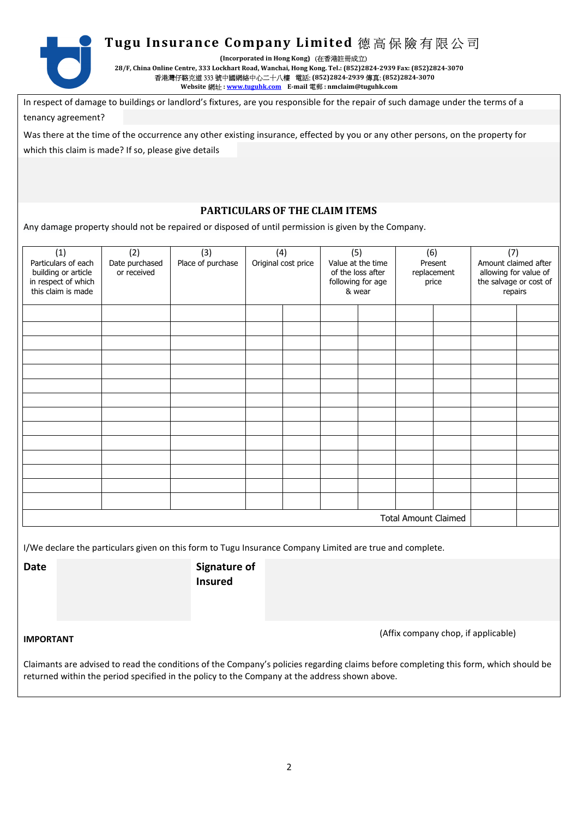

**(Incorporated in Hong Kong)** (在香港註冊成立)

**28/F, China Online Centre, 333 Lockhart Road, Wanchai, Hong Kong. Tel.: (852)2824-2939 Fax: (852)2824-3070**  香港灣仔駱克道 333 號中國網絡中心二十八樓 電話: **(852)2824-2939** 傳真: **(852)2824-3070**  Website 網址 : www.tuguhk.com E-mail 電郵 : nmclaim@tuguhk.com

In respect of damage to buildings or landlord's fixtures, are you responsible for the repair of such damage under the terms of a tenancy agreement?

Was there at the time of the occurrence any other existing insurance, effected by you or any other persons, on the property for which this claim is made? If so, please give details

## **PARTICULARS OF THE CLAIM ITEMS**

Any damage property should not be repaired or disposed of until permission is given by the Company.

| (1)<br>Particulars of each<br>building or article<br>in respect of which<br>this claim is made           | (2)<br>Date purchased<br>or received | (3)<br>Place of purchase | (4)<br>Original cost price |  | (5)<br>Value at the time<br>of the loss after<br>following for age<br>& wear |  | (6)<br>Present<br>replacement<br>price |  | (7)<br>Amount claimed after<br>allowing for value of<br>the salvage or cost of<br>repairs |  |
|----------------------------------------------------------------------------------------------------------|--------------------------------------|--------------------------|----------------------------|--|------------------------------------------------------------------------------|--|----------------------------------------|--|-------------------------------------------------------------------------------------------|--|
|                                                                                                          |                                      |                          |                            |  |                                                                              |  |                                        |  |                                                                                           |  |
|                                                                                                          |                                      |                          |                            |  |                                                                              |  |                                        |  |                                                                                           |  |
|                                                                                                          |                                      |                          |                            |  |                                                                              |  |                                        |  |                                                                                           |  |
|                                                                                                          |                                      |                          |                            |  |                                                                              |  |                                        |  |                                                                                           |  |
|                                                                                                          |                                      |                          |                            |  |                                                                              |  |                                        |  |                                                                                           |  |
|                                                                                                          |                                      |                          |                            |  |                                                                              |  |                                        |  |                                                                                           |  |
|                                                                                                          |                                      |                          |                            |  |                                                                              |  |                                        |  |                                                                                           |  |
|                                                                                                          |                                      |                          |                            |  |                                                                              |  |                                        |  |                                                                                           |  |
|                                                                                                          |                                      |                          |                            |  |                                                                              |  |                                        |  |                                                                                           |  |
|                                                                                                          |                                      |                          |                            |  |                                                                              |  |                                        |  |                                                                                           |  |
|                                                                                                          |                                      |                          |                            |  |                                                                              |  |                                        |  |                                                                                           |  |
|                                                                                                          |                                      |                          |                            |  |                                                                              |  |                                        |  |                                                                                           |  |
|                                                                                                          |                                      |                          |                            |  |                                                                              |  |                                        |  |                                                                                           |  |
|                                                                                                          |                                      |                          |                            |  |                                                                              |  |                                        |  |                                                                                           |  |
| <b>Total Amount Claimed</b>                                                                              |                                      |                          |                            |  |                                                                              |  |                                        |  |                                                                                           |  |
| I/We declare the particulars given on this form to Tugu Insurance Company Limited are true and complete. |                                      |                          |                            |  |                                                                              |  |                                        |  |                                                                                           |  |

**Date** Signature of **Insured** 

**IMPORTANT** (Affix company chop, if applicable)

Claimants are advised to read the conditions of the Company's policies regarding claims before completing this form, which should be returned within the period specified in the policy to the Company at the address shown above.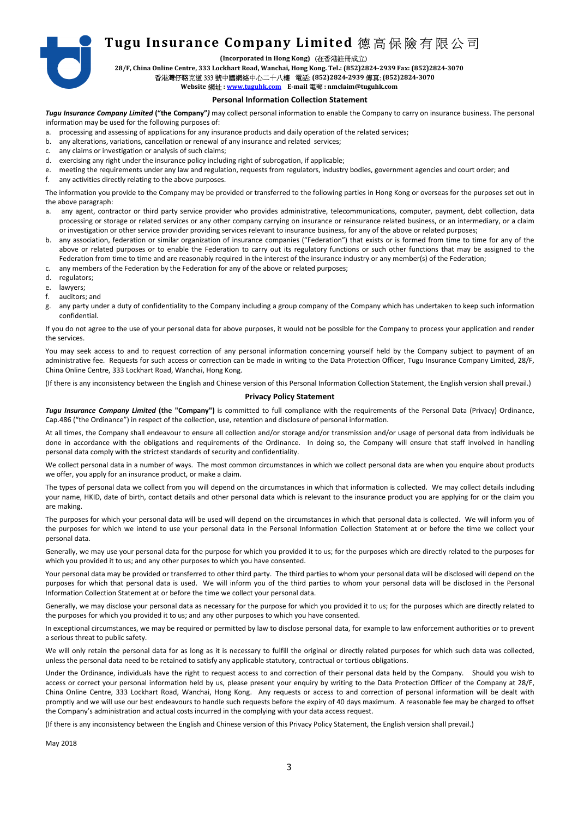**(Incorporated in Hong Kong)** (在香港註冊成立)

**28/F, China Online Centre, 333 Lockhart Road, Wanchai, Hong Kong. Tel.: (852)2824-2939 Fax: (852)2824-3070** 

## 香港灣仔駱克道 333 號中國網絡中心二十八樓 電話: **(852)2824-2939** 傳真: **(852)2824-3070**

## Website 網址 : www.tuguhk.com E-mail 電郵 : nmclaim@tuguhk.com

#### **Personal Information Collection Statement**

*Tugu Insurance Company Limited* **("the Company"***)* may collect personal information to enable the Company to carry on insurance business. The personal information may be used for the following purposes of:

a. processing and assessing of applications for any insurance products and daily operation of the related services;

- b. any alterations, variations, cancellation or renewal of any insurance and related services;
- c. any claims or investigation or analysis of such claims;
- d. exercising any right under the insurance policy including right of subrogation, if applicable;
- e. meeting the requirements under any law and regulation, requests from regulators, industry bodies, government agencies and court order; and
- f. any activities directly relating to the above purposes.

The information you provide to the Company may be provided or transferred to the following parties in Hong Kong or overseas for the purposes set out in the above paragraph:

- a. any agent, contractor or third party service provider who provides administrative, telecommunications, computer, payment, debt collection, data processing or storage or related services or any other company carrying on insurance or reinsurance related business, or an intermediary, or a claim or investigation or other service provider providing services relevant to insurance business, for any of the above or related purposes;
- b. any association, federation or similar organization of insurance companies ("Federation") that exists or is formed from time to time for any of the above or related purposes or to enable the Federation to carry out its regulatory functions or such other functions that may be assigned to the Federation from time to time and are reasonably required in the interest of the insurance industry or any member(s) of the Federation;
- c. any members of the Federation by the Federation for any of the above or related purposes;
- d. regulators;
- e. lawyers;
- f. auditors; and
- g. any party under a duty of confidentiality to the Company including a group company of the Company which has undertaken to keep such information confidential.

If you do not agree to the use of your personal data for above purposes, it would not be possible for the Company to process your application and render the services.

You may seek access to and to request correction of any personal information concerning yourself held by the Company subject to payment of an administrative fee. Requests for such access or correction can be made in writing to the Data Protection Officer, Tugu Insurance Company Limited, 28/F, China Online Centre, 333 Lockhart Road, Wanchai, Hong Kong.

(If there is any inconsistency between the English and Chinese version of this Personal Information Collection Statement, the English version shall prevail.)

#### **Privacy Policy Statement**

*Tugu Insurance Company Limited* **(the "Company")** is committed to full compliance with the requirements of the Personal Data (Privacy) Ordinance, Cap.486 ("the Ordinance") in respect of the collection, use, retention and disclosure of personal information.

At all times, the Company shall endeavour to ensure all collection and/or storage and/or transmission and/or usage of personal data from individuals be done in accordance with the obligations and requirements of the Ordinance. In doing so, the Company will ensure that staff involved in handling personal data comply with the strictest standards of security and confidentiality.

We collect personal data in a number of ways. The most common circumstances in which we collect personal data are when you enquire about products we offer, you apply for an insurance product, or make a claim.

The types of personal data we collect from you will depend on the circumstances in which that information is collected. We may collect details including your name, HKID, date of birth, contact details and other personal data which is relevant to the insurance product you are applying for or the claim you are making.

The purposes for which your personal data will be used will depend on the circumstances in which that personal data is collected. We will inform you of the purposes for which we intend to use your personal data in the Personal Information Collection Statement at or before the time we collect your personal data.

Generally, we may use your personal data for the purpose for which you provided it to us; for the purposes which are directly related to the purposes for which you provided it to us; and any other purposes to which you have consented.

Your personal data may be provided or transferred to other third party. The third parties to whom your personal data will be disclosed will depend on the purposes for which that personal data is used. We will inform you of the third parties to whom your personal data will be disclosed in the Personal Information Collection Statement at or before the time we collect your personal data.

Generally, we may disclose your personal data as necessary for the purpose for which you provided it to us; for the purposes which are directly related to the purposes for which you provided it to us; and any other purposes to which you have consented.

In exceptional circumstances, we may be required or permitted by law to disclose personal data, for example to law enforcement authorities or to prevent a serious threat to public safety.

We will only retain the personal data for as long as it is necessary to fulfill the original or directly related purposes for which such data was collected, unless the personal data need to be retained to satisfy any applicable statutory, contractual or tortious obligations.

Under the Ordinance, individuals have the right to request access to and correction of their personal data held by the Company. Should you wish to access or correct your personal information held by us, please present your enquiry by writing to the Data Protection Officer of the Company at 28/F, China Online Centre, 333 Lockhart Road, Wanchai, Hong Kong. Any requests or access to and correction of personal information will be dealt with promptly and we will use our best endeavours to handle such requests before the expiry of 40 days maximum. A reasonable fee may be charged to offset the Company's administration and actual costs incurred in the complying with your data access request.

(If there is any inconsistency between the English and Chinese version of this Privacy Policy Statement, the English version shall prevail.)

May 2018